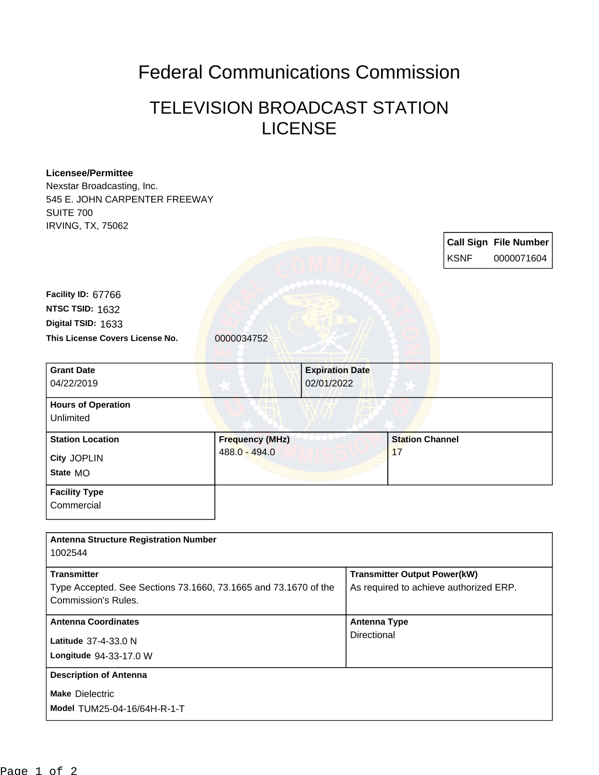## Federal Communications Commission

## TELEVISION BROADCAST STATION **LICENSE**

## **Licensee/Permittee**

Nexstar Broadcasting, Inc. 545 E. JOHN CARPENTER FREEWAY SUITE 700 IRVING, TX, 75062

> **Call Sign File Number** KSNF 0000071604

This License Covers License No. 0000034752 **Digital TSID:** 1633 **NTSC TSID:** 1632 **Facility ID:** 67766

**Commercial** 

| <b>Grant Date</b><br>04/22/2019                    |                                         | <b>Expiration Date</b><br>02/01/2022 |
|----------------------------------------------------|-----------------------------------------|--------------------------------------|
| <b>Hours of Operation</b><br>Unlimited             |                                         |                                      |
| <b>Station Location</b><br>City JOPLIN<br>State MO | <b>Frequency (MHz)</b><br>488.0 - 494.0 | <b>Station Channel</b><br>17         |
| <b>Facility Type</b>                               |                                         |                                      |

| <b>Antenna Structure Registration Number</b><br>1002544                                                      |                                                                               |
|--------------------------------------------------------------------------------------------------------------|-------------------------------------------------------------------------------|
| <b>Transmitter</b><br>Type Accepted. See Sections 73.1660, 73.1665 and 73.1670 of the<br>Commission's Rules. | <b>Transmitter Output Power(kW)</b><br>As required to achieve authorized ERP. |
| <b>Antenna Coordinates</b><br>Latitude 37-4-33.0 N<br>Longitude 94-33-17.0 W                                 | <b>Antenna Type</b><br>Directional                                            |
| <b>Description of Antenna</b><br><b>Make Dielectric</b><br>Model TUM25-04-16/64H-R-1-T                       |                                                                               |